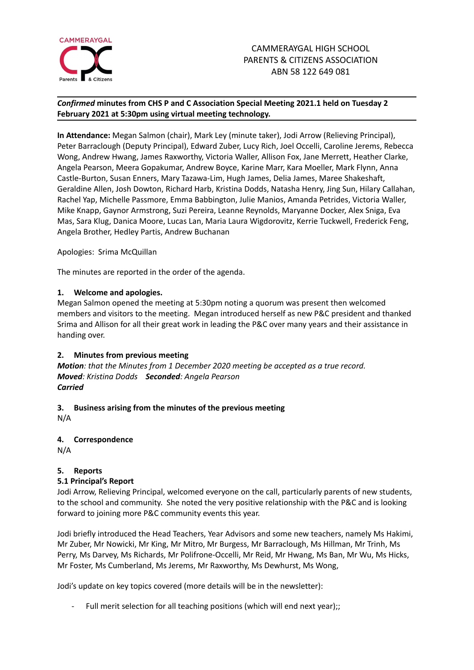

# *Confirmed* **minutes from CHS P and C Association Special Meeting 2021.1 held on Tuesday 2 February 2021 at 5:30pm using virtual meeting technology.**

**In Attendance:** Megan Salmon (chair), Mark Ley (minute taker), Jodi Arrow (Relieving Principal), Peter Barraclough (Deputy Principal), Edward Zuber, Lucy Rich, Joel Occelli, Caroline Jerems, Rebecca Wong, Andrew Hwang, James Raxworthy, Victoria Waller, Allison Fox, Jane Merrett, Heather Clarke, Angela Pearson, Meera Gopakumar, Andrew Boyce, Karine Marr, Kara Moeller, Mark Flynn, Anna Castle-Burton, Susan Enners, Mary Tazawa-Lim, Hugh James, Delia James, Maree Shakeshaft, Geraldine Allen, Josh Dowton, Richard Harb, Kristina Dodds, Natasha Henry, Jing Sun, Hilary Callahan, Rachel Yap, Michelle Passmore, Emma Babbington, Julie Manios, Amanda Petrides, Victoria Waller, Mike Knapp, Gaynor Armstrong, Suzi Pereira, Leanne Reynolds, Maryanne Docker, Alex Sniga, Eva Mas, Sara Klug, Danica Moore, Lucas Lan, Maria Laura Wigdorovitz, Kerrie Tuckwell, Frederick Feng, Angela Brother, Hedley Partis, Andrew Buchanan

Apologies: Srima McQuillan

The minutes are reported in the order of the agenda.

### **1. Welcome and apologies.**

Megan Salmon opened the meeting at 5:30pm noting a quorum was present then welcomed members and visitors to the meeting. Megan introduced herself as new P&C president and thanked Srima and Allison for all their great work in leading the P&C over many years and their assistance in handing over.

### **2. Minutes from previous meeting**

*Motion: that the Minutes from 1 December 2020 meeting be accepted as a true record. Moved: Kristina Dodds Seconded: Angela Pearson Carried*

# **3. Business arising from the minutes of the previous meeting**

N/A

### **4. Correspondence**

N/A

# **5. Reports**

### **5.1 Principal's Report**

Jodi Arrow, Relieving Principal, welcomed everyone on the call, particularly parents of new students, to the school and community. She noted the very positive relationship with the P&C and is looking forward to joining more P&C community events this year.

Jodi briefly introduced the Head Teachers, Year Advisors and some new teachers, namely Ms Hakimi, Mr Zuber, Mr Nowicki, Mr King, Mr Mitro, Mr Burgess, Mr Barraclough, Ms Hillman, Mr Trinh, Ms Perry, Ms Darvey, Ms Richards, Mr Polifrone-Occelli, Mr Reid, Mr Hwang, Ms Ban, Mr Wu, Ms Hicks, Mr Foster, Ms Cumberland, Ms Jerems, Mr Raxworthy, Ms Dewhurst, Ms Wong,

Jodi's update on key topics covered (more details will be in the newsletter):

Full merit selection for all teaching positions (which will end next year);;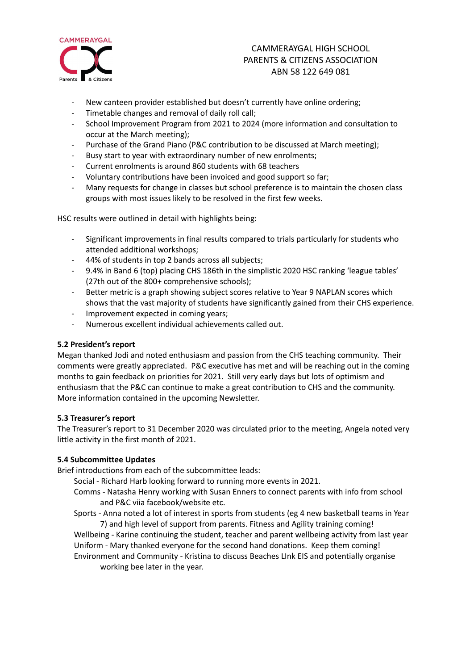

# CAMMERAYGAL HIGH SCHOOL PARENTS & CITIZENS ASSOCIATION ABN 58 122 649 081

- New canteen provider established but doesn't currently have online ordering;
- Timetable changes and removal of daily roll call;
- School Improvement Program from 2021 to 2024 (more information and consultation to occur at the March meeting);
- Purchase of the Grand Piano (P&C contribution to be discussed at March meeting);
- Busy start to year with extraordinary number of new enrolments;
- Current enrolments is around 860 students with 68 teachers
- Voluntary contributions have been invoiced and good support so far;
- Many requests for change in classes but school preference is to maintain the chosen class groups with most issues likely to be resolved in the first few weeks.

HSC results were outlined in detail with highlights being:

- Significant improvements in final results compared to trials particularly for students who attended additional workshops;
- 44% of students in top 2 bands across all subjects;
- 9.4% in Band 6 (top) placing CHS 186th in the simplistic 2020 HSC ranking 'league tables' (27th out of the 800+ comprehensive schools);
- Better metric is a graph showing subject scores relative to Year 9 NAPLAN scores which shows that the vast majority of students have significantly gained from their CHS experience.
- Improvement expected in coming years;
- Numerous excellent individual achievements called out.

### **5.2 President's report**

Megan thanked Jodi and noted enthusiasm and passion from the CHS teaching community. Their comments were greatly appreciated. P&C executive has met and will be reaching out in the coming months to gain feedback on priorities for 2021. Still very early days but lots of optimism and enthusiasm that the P&C can continue to make a great contribution to CHS and the community. More information contained in the upcoming Newsletter.

### **5.3 Treasurer's report**

The Treasurer's report to 31 December 2020 was circulated prior to the meeting, Angela noted very little activity in the first month of 2021.

### **5.4 Subcommittee Updates**

Brief introductions from each of the subcommittee leads:

- Social Richard Harb looking forward to running more events in 2021.
- Comms Natasha Henry working with Susan Enners to connect parents with info from school and P&C viia facebook/website etc.
- Sports Anna noted a lot of interest in sports from students (eg 4 new basketball teams in Year 7) and high level of support from parents. Fitness and Agility training coming!

Wellbeing - Karine continuing the student, teacher and parent wellbeing activity from last year Uniform - Mary thanked everyone for the second hand donations. Keep them coming! Environment and Community - Kristina to discuss Beaches LInk EIS and potentially organise

working bee later in the year.